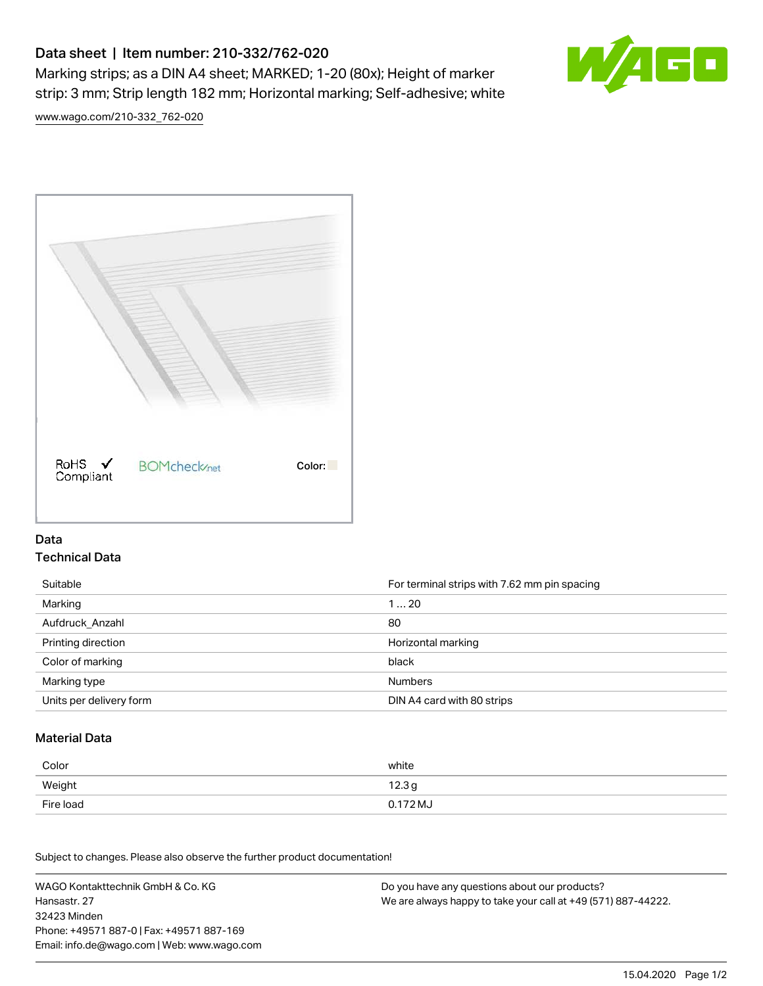# Data sheet | Item number: 210-332/762-020

Marking strips; as a DIN A4 sheet; MARKED; 1-20 (80x); Height of marker strip: 3 mm; Strip length 182 mm; Horizontal marking; Self-adhesive; white



[www.wago.com/210-332\\_762-020](http://www.wago.com/210-332_762-020)



### Data Technical Data

| Suitable                | For terminal strips with 7.62 mm pin spacing |
|-------------------------|----------------------------------------------|
| Marking                 | 120                                          |
| Aufdruck Anzahl         | 80                                           |
| Printing direction      | Horizontal marking                           |
| Color of marking        | black                                        |
| Marking type            | <b>Numbers</b>                               |
| Units per delivery form | DIN A4 card with 80 strips                   |

#### Material Data

| Color     | white             |
|-----------|-------------------|
| Weight    | 12.3 <sub>g</sub> |
| Fire load | 0.172 MJ          |

Subject to changes. Please also observe the further product documentation!

WAGO Kontakttechnik GmbH & Co. KG Hansastr. 27 32423 Minden Phone: +49571 887-0 | Fax: +49571 887-169 Email: info.de@wago.com | Web: www.wago.com Do you have any questions about our products? We are always happy to take your call at +49 (571) 887-44222.